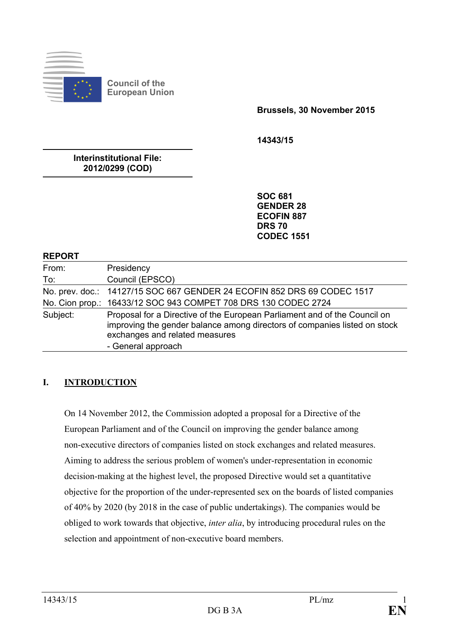

**Council of the European Union**

**Brussels, 30 November 2015**

**14343/15**

**Interinstitutional File: 2012/0299 (COD)**

> **SOC 681 GENDER 28 ECOFIN 887 DRS 70 CODEC 1551**

#### **REPORT**

| From:    | Presidency                                                                                                                                                                                                     |
|----------|----------------------------------------------------------------------------------------------------------------------------------------------------------------------------------------------------------------|
| To:      | Council (EPSCO)                                                                                                                                                                                                |
|          | No. prev. doc.: 14127/15 SOC 667 GENDER 24 ECOFIN 852 DRS 69 CODEC 1517                                                                                                                                        |
|          | No. Cion prop.: 16433/12 SOC 943 COMPET 708 DRS 130 CODEC 2724                                                                                                                                                 |
| Subject: | Proposal for a Directive of the European Parliament and of the Council on<br>improving the gender balance among directors of companies listed on stock<br>exchanges and related measures<br>- General approach |

#### **I. INTRODUCTION**

On 14 November 2012, the Commission adopted a proposal for a Directive of the European Parliament and of the Council on improving the gender balance among non-executive directors of companies listed on stock exchanges and related measures. Aiming to address the serious problem of women's under-representation in economic decision-making at the highest level, the proposed Directive would set a quantitative objective for the proportion of the under-represented sex on the boards of listed companies of 40% by 2020 (by 2018 in the case of public undertakings). The companies would be obliged to work towards that objective, *inter alia*, by introducing procedural rules on the selection and appointment of non-executive board members.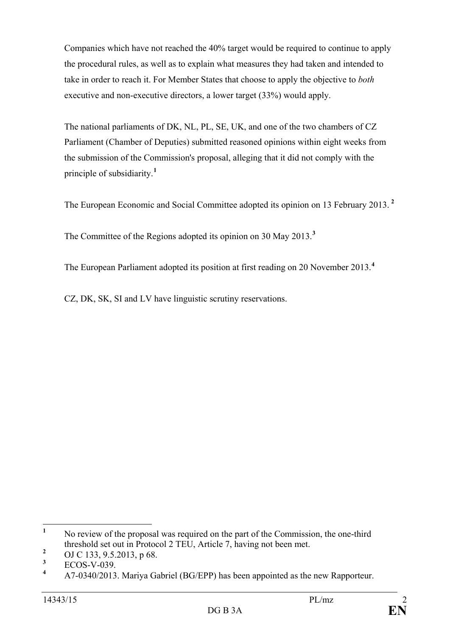Companies which have not reached the 40% target would be required to continue to apply the procedural rules, as well as to explain what measures they had taken and intended to take in order to reach it. For Member States that choose to apply the objective to *both* executive and non-executive directors, a lower target (33%) would apply.

The national parliaments of DK, NL, PL, SE, UK, and one of the two chambers of CZ Parliament (Chamber of Deputies) submitted reasoned opinions within eight weeks from the submission of the Commission's proposal, alleging that it did not comply with the principle of subsidiarity.**[1](#page-1-0)**

The European Economic and Social Committee adopted its opinion on 13 February 2013. **[2](#page-1-1)**

The Committee of the Regions adopted its opinion on 30 May 2013.**[3](#page-1-2)**

The European Parliament adopted its position at first reading on 20 November 2013.**[4](#page-1-3)**

CZ, DK, SK, SI and LV have linguistic scrutiny reservations.

<span id="page-1-0"></span><sup>&</sup>lt;sup>1</sup> No review of the proposal was required on the part of the Commission, the one-third threshold set out in Protocol 2 TEU, Article 7, having not been met.

<span id="page-1-1"></span><sup>&</sup>lt;sup>2</sup> OJ C 133, 9.5.2013, p 68.

<span id="page-1-3"></span><span id="page-1-2"></span> $\frac{3}{4}$  ECOS-V-039.

**<sup>4</sup>** A7-0340/2013. Mariya Gabriel (BG/EPP) has been appointed as the new Rapporteur.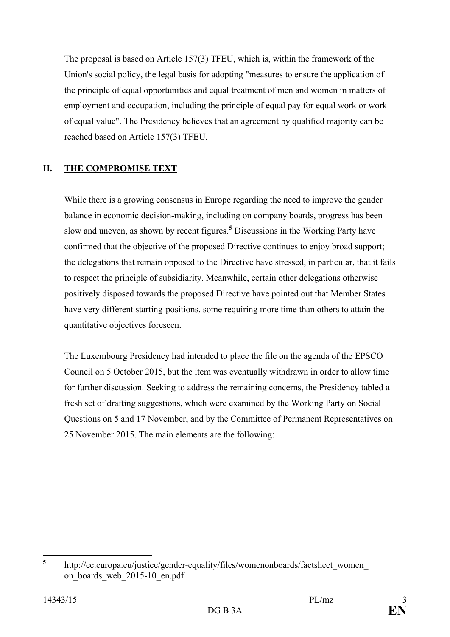The proposal is based on Article 157(3) TFEU, which is, within the framework of the Union's social policy, the legal basis for adopting "measures to ensure the application of the principle of equal opportunities and equal treatment of men and women in matters of employment and occupation, including the principle of equal pay for equal work or work of equal value". The Presidency believes that an agreement by qualified majority can be reached based on Article 157(3) TFEU.

## **II. THE COMPROMISE TEXT**

While there is a growing consensus in Europe regarding the need to improve the gender balance in economic decision-making, including on company boards, progress has been slow and uneven, as shown by recent figures.**[5](#page-2-0)** Discussions in the Working Party have confirmed that the objective of the proposed Directive continues to enjoy broad support; the delegations that remain opposed to the Directive have stressed, in particular, that it fails to respect the principle of subsidiarity. Meanwhile, certain other delegations otherwise positively disposed towards the proposed Directive have pointed out that Member States have very different starting-positions, some requiring more time than others to attain the quantitative objectives foreseen.

The Luxembourg Presidency had intended to place the file on the agenda of the EPSCO Council on 5 October 2015, but the item was eventually withdrawn in order to allow time for further discussion. Seeking to address the remaining concerns, the Presidency tabled a fresh set of drafting suggestions, which were examined by the Working Party on Social Questions on 5 and 17 November, and by the Committee of Permanent Representatives on 25 November 2015. The main elements are the following:

<span id="page-2-0"></span>**<sup>5</sup>** http://ec.europa.eu/justice/gender-equality/files/womenonboards/factsheet\_women\_ on boards web 2015-10 en.pdf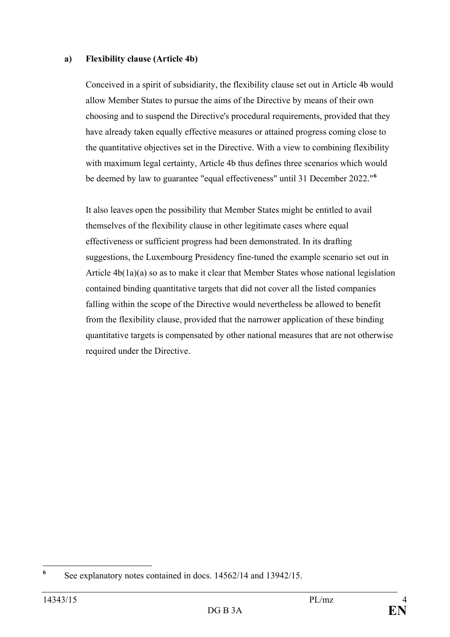#### **a) Flexibility clause (Article 4b)**

Conceived in a spirit of subsidiarity, the flexibility clause set out in Article 4b would allow Member States to pursue the aims of the Directive by means of their own choosing and to suspend the Directive's procedural requirements, provided that they have already taken equally effective measures or attained progress coming close to the quantitative objectives set in the Directive. With a view to combining flexibility with maximum legal certainty, Article 4b thus defines three scenarios which would be deemed by law to guarantee "equal effectiveness" until 31 December 2022."**[6](#page-3-0)**

It also leaves open the possibility that Member States might be entitled to avail themselves of the flexibility clause in other legitimate cases where equal effectiveness or sufficient progress had been demonstrated. In its drafting suggestions, the Luxembourg Presidency fine-tuned the example scenario set out in Article 4b(1a)(a) so as to make it clear that Member States whose national legislation contained binding quantitative targets that did not cover all the listed companies falling within the scope of the Directive would nevertheless be allowed to benefit from the flexibility clause, provided that the narrower application of these binding quantitative targets is compensated by other national measures that are not otherwise required under the Directive.

<span id="page-3-0"></span>**<sup>6</sup>** See explanatory notes contained in docs. 14562/14 and 13942/15.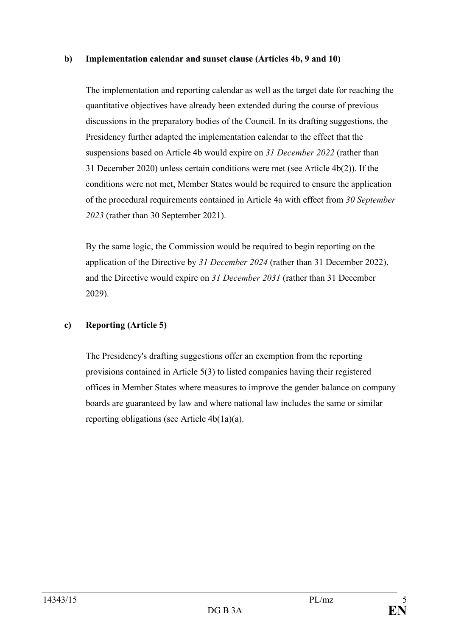#### **b) Implementation calendar and sunset clause (Articles 4b, 9 and 10)**

The implementation and reporting calendar as well as the target date for reaching the quantitative objectives have already been extended during the course of previous discussions in the preparatory bodies of the Council. In its drafting suggestions, the Presidency further adapted the implementation calendar to the effect that the suspensions based on Article 4b would expire on *31 December 2022* (rather than 31 December 2020) unless certain conditions were met (see Article 4b(2)). If the conditions were not met, Member States would be required to ensure the application of the procedural requirements contained in Article 4a with effect from *30 September 2023* (rather than 30 September 2021).

By the same logic, the Commission would be required to begin reporting on the application of the Directive by *31 December 2024* (rather than 31 December 2022), and the Directive would expire on *31 December 2031* (rather than 31 December 2029).

#### **c) Reporting (Article 5)**

The Presidency's drafting suggestions offer an exemption from the reporting provisions contained in Article 5(3) to listed companies having their registered offices in Member States where measures to improve the gender balance on company boards are guaranteed by law and where national law includes the same or similar reporting obligations (see Article 4b(1a)(a).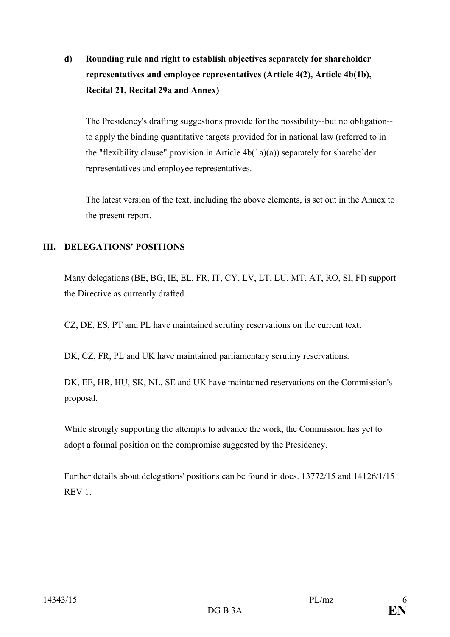**d) Rounding rule and right to establish objectives separately for shareholder representatives and employee representatives (Article 4(2), Article 4b(1b), Recital 21, Recital 29a and Annex)**

The Presidency's drafting suggestions provide for the possibility--but no obligation- to apply the binding quantitative targets provided for in national law (referred to in the "flexibility clause" provision in Article  $4b(1a)(a)$ ) separately for shareholder representatives and employee representatives.

The latest version of the text, including the above elements, is set out in the Annex to the present report.

## **III. DELEGATIONS' POSITIONS**

Many delegations (BE, BG, IE, EL, FR, IT, CY, LV, LT, LU, MT, AT, RO, SI, FI) support the Directive as currently drafted.

CZ, DE, ES, PT and PL have maintained scrutiny reservations on the current text.

DK, CZ, FR, PL and UK have maintained parliamentary scrutiny reservations.

DK, EE, HR, HU, SK, NL, SE and UK have maintained reservations on the Commission's proposal.

While strongly supporting the attempts to advance the work, the Commission has yet to adopt a formal position on the compromise suggested by the Presidency.

Further details about delegations' positions can be found in docs. 13772/15 and 14126/1/15 REV 1.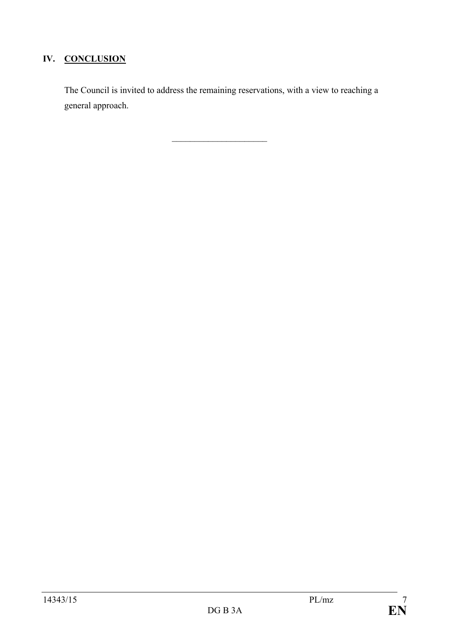# **IV. CONCLUSION**

The Council is invited to address the remaining reservations, with a view to reaching a general approach.

 $\overline{\phantom{a}}$  , and the set of the set of the set of the set of the set of the set of the set of the set of the set of the set of the set of the set of the set of the set of the set of the set of the set of the set of the s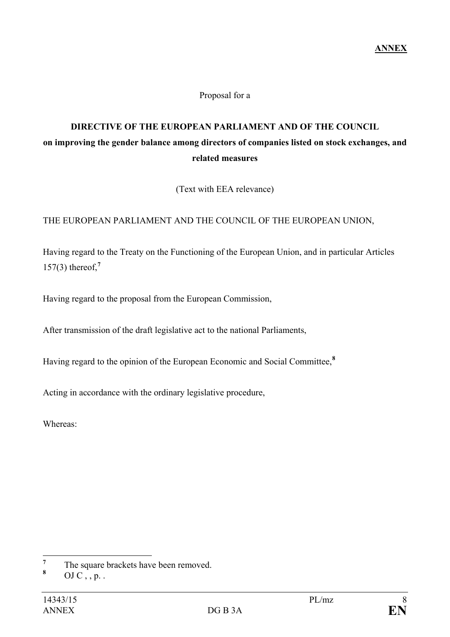#### Proposal for a

# **DIRECTIVE OF THE EUROPEAN PARLIAMENT AND OF THE COUNCIL on improving the gender balance among directors of companies listed on stock exchanges, and related measures**

(Text with EEA relevance)

#### THE EUROPEAN PARLIAMENT AND THE COUNCIL OF THE EUROPEAN UNION,

Having regard to the Treaty on the Functioning of the European Union, and in particular Articles 157(3) thereof,**[7](#page-7-0)**

Having regard to the proposal from the European Commission,

After transmission of the draft legislative act to the national Parliaments,

Having regard to the opinion of the European Economic and Social Committee,**[8](#page-7-1)**

Acting in accordance with the ordinary legislative procedure,

Whereas:

<span id="page-7-0"></span> $\frac{7}{8}$  The square brackets have been removed.

<span id="page-7-1"></span>**<sup>8</sup>** OJ C , , p. .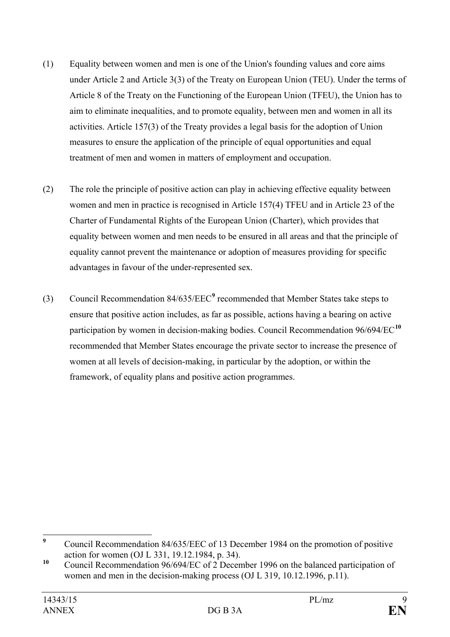- (1) Equality between women and men is one of the Union's founding values and core aims under Article 2 and Article 3(3) of the Treaty on European Union (TEU). Under the terms of Article 8 of the Treaty on the Functioning of the European Union (TFEU), the Union has to aim to eliminate inequalities, and to promote equality, between men and women in all its activities. Article 157(3) of the Treaty provides a legal basis for the adoption of Union measures to ensure the application of the principle of equal opportunities and equal treatment of men and women in matters of employment and occupation.
- (2) The role the principle of positive action can play in achieving effective equality between women and men in practice is recognised in Article 157(4) TFEU and in Article 23 of the Charter of Fundamental Rights of the European Union (Charter), which provides that equality between women and men needs to be ensured in all areas and that the principle of equality cannot prevent the maintenance or adoption of measures providing for specific advantages in favour of the under-represented sex.
- (3) Council Recommendation 84/635/EEC**[9](#page-8-0)** recommended that Member States take steps to ensure that positive action includes, as far as possible, actions having a bearing on active participation by women in decision-making bodies. Council Recommendation 96/694/EC**[10](#page-8-1)** recommended that Member States encourage the private sector to increase the presence of women at all levels of decision-making, in particular by the adoption, or within the framework, of equality plans and positive action programmes.

<span id="page-8-0"></span><sup>&</sup>lt;sup>9</sup> Council Recommendation 84/635/EEC of 13 December 1984 on the promotion of positive action for women (OJ L 331, 19.12.1984, p. 34).

<span id="page-8-1"></span><sup>&</sup>lt;sup>10</sup> Council Recommendation 96/694/EC of 2 December 1996 on the balanced participation of women and men in the decision-making process (OJ L 319, 10.12.1996, p.11).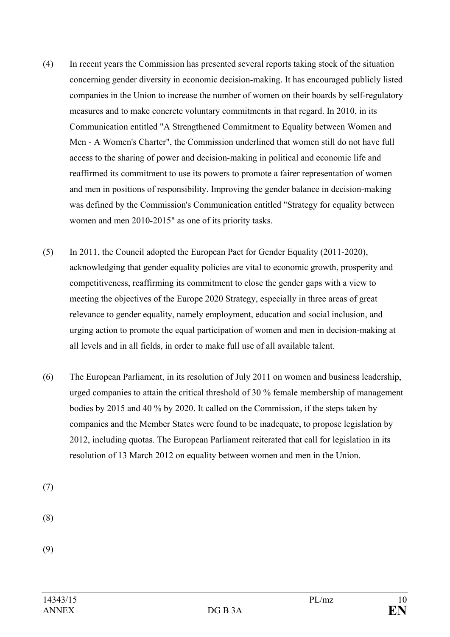- (4) In recent years the Commission has presented several reports taking stock of the situation concerning gender diversity in economic decision-making. It has encouraged publicly listed companies in the Union to increase the number of women on their boards by self-regulatory measures and to make concrete voluntary commitments in that regard. In 2010, in its Communication entitled "A Strengthened Commitment to Equality between Women and Men - A Women's Charter", the Commission underlined that women still do not have full access to the sharing of power and decision-making in political and economic life and reaffirmed its commitment to use its powers to promote a fairer representation of women and men in positions of responsibility. Improving the gender balance in decision-making was defined by the Commission's Communication entitled "Strategy for equality between women and men 2010-2015" as one of its priority tasks.
- (5) In 2011, the Council adopted the European Pact for Gender Equality (2011-2020), acknowledging that gender equality policies are vital to economic growth, prosperity and competitiveness, reaffirming its commitment to close the gender gaps with a view to meeting the objectives of the Europe 2020 Strategy, especially in three areas of great relevance to gender equality, namely employment, education and social inclusion, and urging action to promote the equal participation of women and men in decision-making at all levels and in all fields, in order to make full use of all available talent.
- (6) The European Parliament, in its resolution of July 2011 on women and business leadership, urged companies to attain the critical threshold of 30 % female membership of management bodies by 2015 and 40 % by 2020. It called on the Commission, if the steps taken by companies and the Member States were found to be inadequate, to propose legislation by 2012, including quotas. The European Parliament reiterated that call for legislation in its resolution of 13 March 2012 on equality between women and men in the Union.

(7)

- (8)
- (9)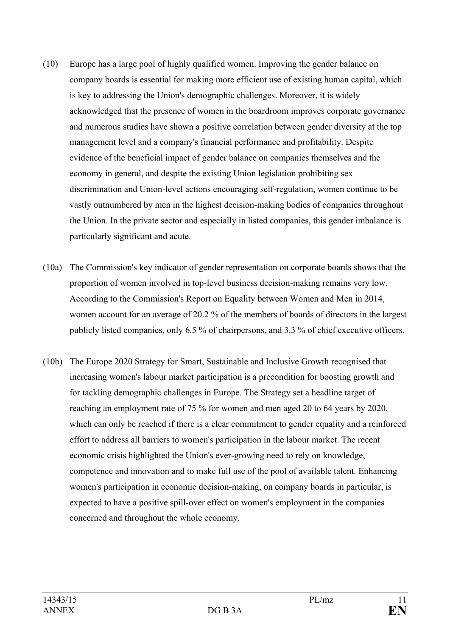- (10) Europe has a large pool of highly qualified women. Improving the gender balance on company boards is essential for making more efficient use of existing human capital, which is key to addressing the Union's demographic challenges. Moreover, it is widely acknowledged that the presence of women in the boardroom improves corporate governance and numerous studies have shown a positive correlation between gender diversity at the top management level and a company's financial performance and profitability. Despite evidence of the beneficial impact of gender balance on companies themselves and the economy in general, and despite the existing Union legislation prohibiting sex discrimination and Union-level actions encouraging self-regulation, women continue to be vastly outnumbered by men in the highest decision-making bodies of companies throughout the Union. In the private sector and especially in listed companies, this gender imbalance is particularly significant and acute.
- (10a) The Commission's key indicator of gender representation on corporate boards shows that the proportion of women involved in top-level business decision-making remains very low. According to the Commission's Report on Equality between Women and Men in 2014, women account for an average of 20.2 % of the members of boards of directors in the largest publicly listed companies, only 6.5 % of chairpersons, and 3.3 % of chief executive officers.
- (10b) The Europe 2020 Strategy for Smart, Sustainable and Inclusive Growth recognised that increasing women's labour market participation is a precondition for boosting growth and for tackling demographic challenges in Europe. The Strategy set a headline target of reaching an employment rate of 75 % for women and men aged 20 to 64 years by 2020, which can only be reached if there is a clear commitment to gender equality and a reinforced effort to address all barriers to women's participation in the labour market. The recent economic crisis highlighted the Union's ever-growing need to rely on knowledge, competence and innovation and to make full use of the pool of available talent. Enhancing women's participation in economic decision-making, on company boards in particular, is expected to have a positive spill-over effect on women's employment in the companies concerned and throughout the whole economy.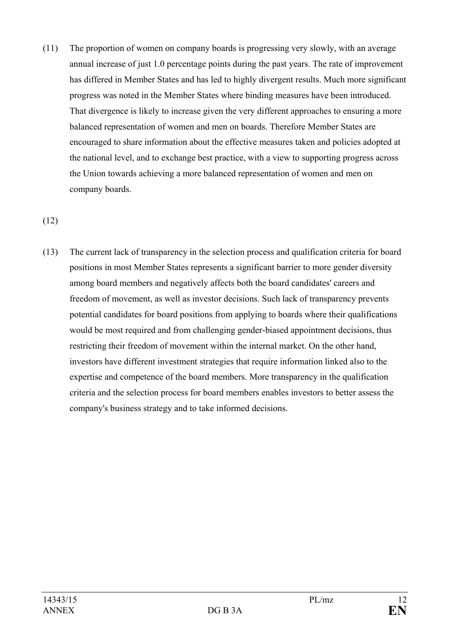(11) The proportion of women on company boards is progressing very slowly, with an average annual increase of just 1.0 percentage points during the past years. The rate of improvement has differed in Member States and has led to highly divergent results. Much more significant progress was noted in the Member States where binding measures have been introduced. That divergence is likely to increase given the very different approaches to ensuring a more balanced representation of women and men on boards. Therefore Member States are encouraged to share information about the effective measures taken and policies adopted at the national level, and to exchange best practice, with a view to supporting progress across the Union towards achieving a more balanced representation of women and men on company boards.

## (12)

(13) The current lack of transparency in the selection process and qualification criteria for board positions in most Member States represents a significant barrier to more gender diversity among board members and negatively affects both the board candidates' careers and freedom of movement, as well as investor decisions. Such lack of transparency prevents potential candidates for board positions from applying to boards where their qualifications would be most required and from challenging gender-biased appointment decisions, thus restricting their freedom of movement within the internal market. On the other hand, investors have different investment strategies that require information linked also to the expertise and competence of the board members. More transparency in the qualification criteria and the selection process for board members enables investors to better assess the company's business strategy and to take informed decisions.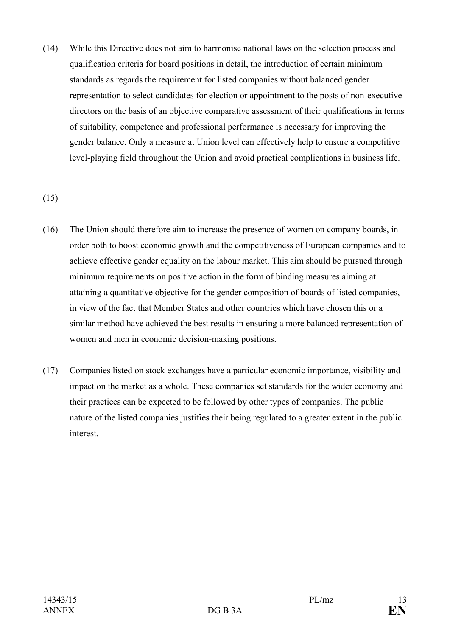(14) While this Directive does not aim to harmonise national laws on the selection process and qualification criteria for board positions in detail, the introduction of certain minimum standards as regards the requirement for listed companies without balanced gender representation to select candidates for election or appointment to the posts of non-executive directors on the basis of an objective comparative assessment of their qualifications in terms of suitability, competence and professional performance is necessary for improving the gender balance. Only a measure at Union level can effectively help to ensure a competitive level-playing field throughout the Union and avoid practical complications in business life.

#### (15)

- (16) The Union should therefore aim to increase the presence of women on company boards, in order both to boost economic growth and the competitiveness of European companies and to achieve effective gender equality on the labour market. This aim should be pursued through minimum requirements on positive action in the form of binding measures aiming at attaining a quantitative objective for the gender composition of boards of listed companies, in view of the fact that Member States and other countries which have chosen this or a similar method have achieved the best results in ensuring a more balanced representation of women and men in economic decision-making positions.
- (17) Companies listed on stock exchanges have a particular economic importance, visibility and impact on the market as a whole. These companies set standards for the wider economy and their practices can be expected to be followed by other types of companies. The public nature of the listed companies justifies their being regulated to a greater extent in the public interest.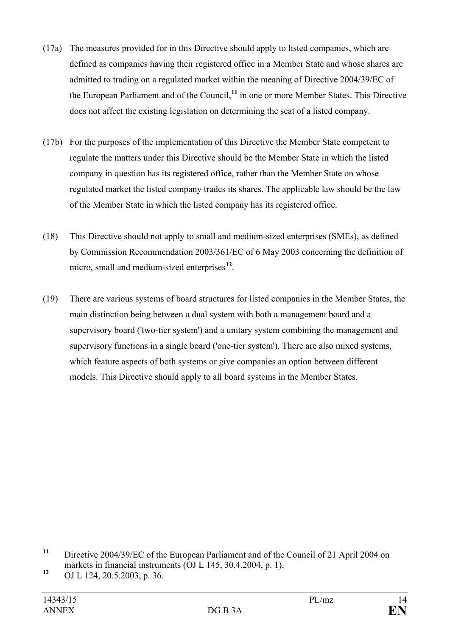- (17a) The measures provided for in this Directive should apply to listed companies, which are defined as companies having their registered office in a Member State and whose shares are admitted to trading on a regulated market within the meaning of Directive 2004/39/EC of the European Parliament and of the Council,**[11](#page-13-0)** in one or more Member States. This Directive does not affect the existing legislation on determining the seat of a listed company.
- (17b) For the purposes of the implementation of this Directive the Member State competent to regulate the matters under this Directive should be the Member State in which the listed company in question has its registered office, rather than the Member State on whose regulated market the listed company trades its shares. The applicable law should be the law of the Member State in which the listed company has its registered office.
- (18) This Directive should not apply to small and medium-sized enterprises (SMEs), as defined by Commission Recommendation 2003/361/EC of 6 May 2003 concerning the definition of micro, small and medium-sized enterprises**[12](#page-13-1)**.
- (19) There are various systems of board structures for listed companies in the Member States, the main distinction being between a dual system with both a management board and a supervisory board ('two-tier system') and a unitary system combining the management and supervisory functions in a single board ('one-tier system'). There are also mixed systems, which feature aspects of both systems or give companies an option between different models. This Directive should apply to all board systems in the Member States.

<span id="page-13-0"></span>**<sup>11</sup>** Directive 2004/39/EC of the European Parliament and of the Council of 21 April 2004 on markets in financial instruments (OJ L 145, 30.4.2004, p. 1).

<span id="page-13-1"></span>**<sup>12</sup>** OJ L 124, 20.5.2003, p. 36.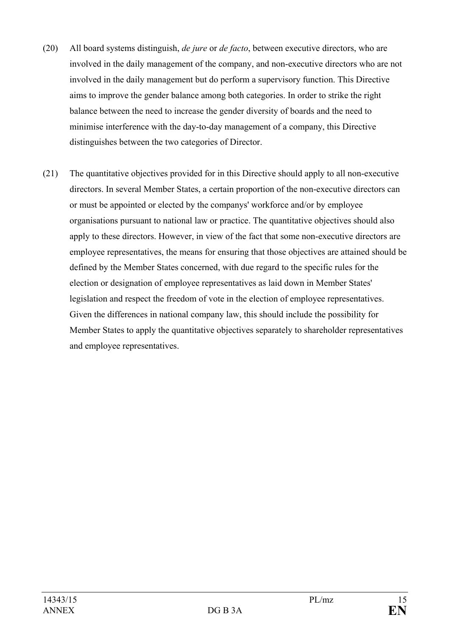- (20) All board systems distinguish, *de jure* or *de facto*, between executive directors, who are involved in the daily management of the company, and non-executive directors who are not involved in the daily management but do perform a supervisory function. This Directive aims to improve the gender balance among both categories. In order to strike the right balance between the need to increase the gender diversity of boards and the need to minimise interference with the day-to-day management of a company, this Directive distinguishes between the two categories of Director.
- (21) The quantitative objectives provided for in this Directive should apply to all non-executive directors. In several Member States, a certain proportion of the non-executive directors can or must be appointed or elected by the companys' workforce and/or by employee organisations pursuant to national law or practice. The quantitative objectives should also apply to these directors. However, in view of the fact that some non-executive directors are employee representatives, the means for ensuring that those objectives are attained should be defined by the Member States concerned, with due regard to the specific rules for the election or designation of employee representatives as laid down in Member States' legislation and respect the freedom of vote in the election of employee representatives. Given the differences in national company law, this should include the possibility for Member States to apply the quantitative objectives separately to shareholder representatives and employee representatives.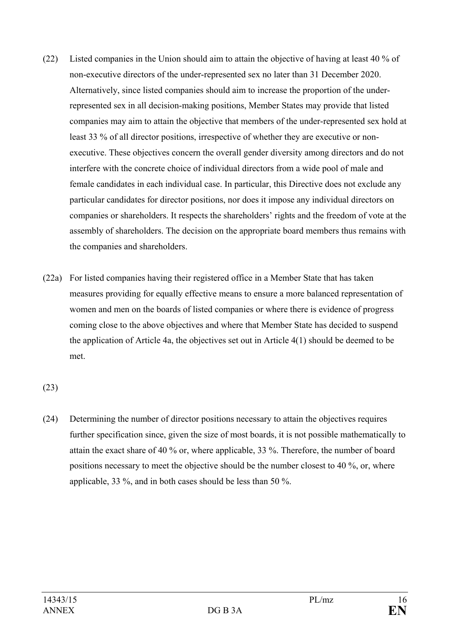- (22) Listed companies in the Union should aim to attain the objective of having at least 40 % of non-executive directors of the under-represented sex no later than 31 December 2020. Alternatively, since listed companies should aim to increase the proportion of the underrepresented sex in all decision-making positions, Member States may provide that listed companies may aim to attain the objective that members of the under-represented sex hold at least 33 % of all director positions, irrespective of whether they are executive or nonexecutive. These objectives concern the overall gender diversity among directors and do not interfere with the concrete choice of individual directors from a wide pool of male and female candidates in each individual case. In particular, this Directive does not exclude any particular candidates for director positions, nor does it impose any individual directors on companies or shareholders. It respects the shareholders' rights and the freedom of vote at the assembly of shareholders. The decision on the appropriate board members thus remains with the companies and shareholders.
- (22a) For listed companies having their registered office in a Member State that has taken measures providing for equally effective means to ensure a more balanced representation of women and men on the boards of listed companies or where there is evidence of progress coming close to the above objectives and where that Member State has decided to suspend the application of Article 4a, the objectives set out in Article 4(1) should be deemed to be met.

(23)

(24) Determining the number of director positions necessary to attain the objectives requires further specification since, given the size of most boards, it is not possible mathematically to attain the exact share of 40 % or, where applicable, 33 %. Therefore, the number of board positions necessary to meet the objective should be the number closest to 40 %, or, where applicable, 33 %, and in both cases should be less than 50 %.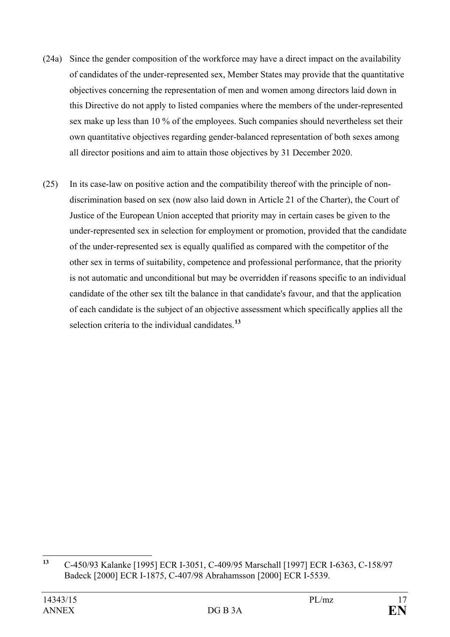- (24a) Since the gender composition of the workforce may have a direct impact on the availability of candidates of the under-represented sex, Member States may provide that the quantitative objectives concerning the representation of men and women among directors laid down in this Directive do not apply to listed companies where the members of the under-represented sex make up less than 10 % of the employees. Such companies should nevertheless set their own quantitative objectives regarding gender-balanced representation of both sexes among all director positions and aim to attain those objectives by 31 December 2020.
- (25) In its case-law on positive action and the compatibility thereof with the principle of nondiscrimination based on sex (now also laid down in Article 21 of the Charter), the Court of Justice of the European Union accepted that priority may in certain cases be given to the under-represented sex in selection for employment or promotion, provided that the candidate of the under-represented sex is equally qualified as compared with the competitor of the other sex in terms of suitability, competence and professional performance, that the priority is not automatic and unconditional but may be overridden if reasons specific to an individual candidate of the other sex tilt the balance in that candidate's favour, and that the application of each candidate is the subject of an objective assessment which specifically applies all the selection criteria to the individual candidates.**[13](#page-16-0)**

<span id="page-16-0"></span>**<sup>13</sup>** C-450/93 Kalanke [1995] ECR I-3051, C-409/95 Marschall [1997] ECR I-6363, C-158/97 Badeck [2000] ECR I-1875, C-407/98 Abrahamsson [2000] ECR I-5539.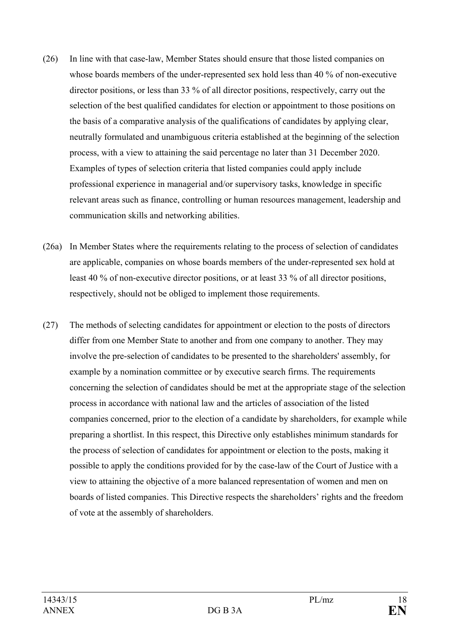- (26) In line with that case-law, Member States should ensure that those listed companies on whose boards members of the under-represented sex hold less than 40 % of non-executive director positions, or less than 33 % of all director positions, respectively, carry out the selection of the best qualified candidates for election or appointment to those positions on the basis of a comparative analysis of the qualifications of candidates by applying clear, neutrally formulated and unambiguous criteria established at the beginning of the selection process, with a view to attaining the said percentage no later than 31 December 2020. Examples of types of selection criteria that listed companies could apply include professional experience in managerial and/or supervisory tasks, knowledge in specific relevant areas such as finance, controlling or human resources management, leadership and communication skills and networking abilities.
- (26a) In Member States where the requirements relating to the process of selection of candidates are applicable, companies on whose boards members of the under-represented sex hold at least 40 % of non-executive director positions, or at least 33 % of all director positions, respectively, should not be obliged to implement those requirements.
- (27) The methods of selecting candidates for appointment or election to the posts of directors differ from one Member State to another and from one company to another. They may involve the pre-selection of candidates to be presented to the shareholders' assembly, for example by a nomination committee or by executive search firms. The requirements concerning the selection of candidates should be met at the appropriate stage of the selection process in accordance with national law and the articles of association of the listed companies concerned, prior to the election of a candidate by shareholders, for example while preparing a shortlist. In this respect, this Directive only establishes minimum standards for the process of selection of candidates for appointment or election to the posts, making it possible to apply the conditions provided for by the case-law of the Court of Justice with a view to attaining the objective of a more balanced representation of women and men on boards of listed companies. This Directive respects the shareholders' rights and the freedom of vote at the assembly of shareholders.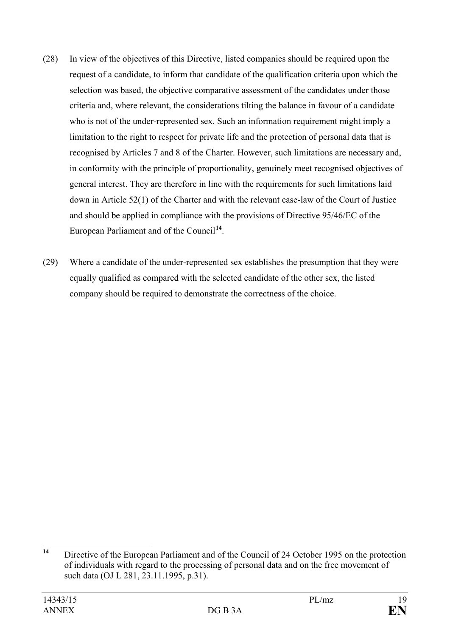- (28) In view of the objectives of this Directive, listed companies should be required upon the request of a candidate, to inform that candidate of the qualification criteria upon which the selection was based, the objective comparative assessment of the candidates under those criteria and, where relevant, the considerations tilting the balance in favour of a candidate who is not of the under-represented sex. Such an information requirement might imply a limitation to the right to respect for private life and the protection of personal data that is recognised by Articles 7 and 8 of the Charter. However, such limitations are necessary and, in conformity with the principle of proportionality, genuinely meet recognised objectives of general interest. They are therefore in line with the requirements for such limitations laid down in Article 52(1) of the Charter and with the relevant case-law of the Court of Justice and should be applied in compliance with the provisions of Directive 95/46/EC of the European Parliament and of the Council**[14](#page-18-0)**.
- (29) Where a candidate of the under-represented sex establishes the presumption that they were equally qualified as compared with the selected candidate of the other sex, the listed company should be required to demonstrate the correctness of the choice.

<span id="page-18-0"></span>**<sup>14</sup>** Directive of the European Parliament and of the Council of 24 October 1995 on the protection of individuals with regard to the processing of personal data and on the free movement of such data (OJ L 281, 23.11.1995, p.31).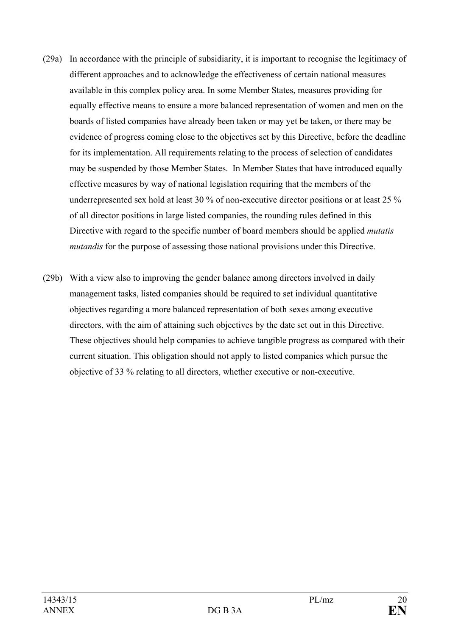- (29a) In accordance with the principle of subsidiarity, it is important to recognise the legitimacy of different approaches and to acknowledge the effectiveness of certain national measures available in this complex policy area. In some Member States, measures providing for equally effective means to ensure a more balanced representation of women and men on the boards of listed companies have already been taken or may yet be taken, or there may be evidence of progress coming close to the objectives set by this Directive, before the deadline for its implementation. All requirements relating to the process of selection of candidates may be suspended by those Member States. In Member States that have introduced equally effective measures by way of national legislation requiring that the members of the underrepresented sex hold at least 30 % of non-executive director positions or at least 25 % of all director positions in large listed companies, the rounding rules defined in this Directive with regard to the specific number of board members should be applied *mutatis mutandis* for the purpose of assessing those national provisions under this Directive.
- (29b) With a view also to improving the gender balance among directors involved in daily management tasks, listed companies should be required to set individual quantitative objectives regarding a more balanced representation of both sexes among executive directors, with the aim of attaining such objectives by the date set out in this Directive. These objectives should help companies to achieve tangible progress as compared with their current situation. This obligation should not apply to listed companies which pursue the objective of 33 % relating to all directors, whether executive or non-executive.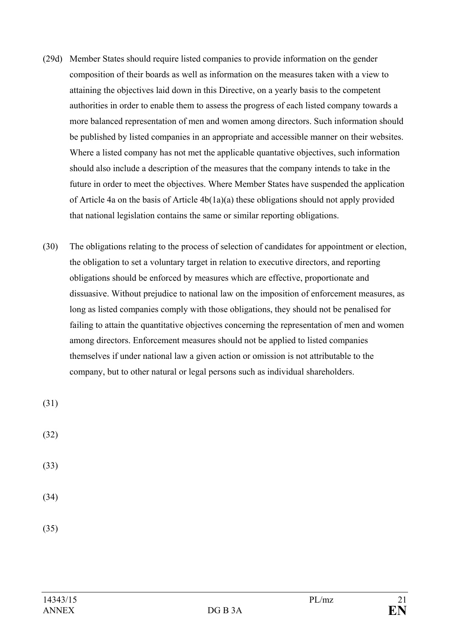- (29d) Member States should require listed companies to provide information on the gender composition of their boards as well as information on the measures taken with a view to attaining the objectives laid down in this Directive, on a yearly basis to the competent authorities in order to enable them to assess the progress of each listed company towards a more balanced representation of men and women among directors. Such information should be published by listed companies in an appropriate and accessible manner on their websites. Where a listed company has not met the applicable quantative objectives, such information should also include a description of the measures that the company intends to take in the future in order to meet the objectives. Where Member States have suspended the application of Article 4a on the basis of Article 4b(1a)(a) these obligations should not apply provided that national legislation contains the same or similar reporting obligations.
- (30) The obligations relating to the process of selection of candidates for appointment or election, the obligation to set a voluntary target in relation to executive directors, and reporting obligations should be enforced by measures which are effective, proportionate and dissuasive. Without prejudice to national law on the imposition of enforcement measures, as long as listed companies comply with those obligations, they should not be penalised for failing to attain the quantitative objectives concerning the representation of men and women among directors. Enforcement measures should not be applied to listed companies themselves if under national law a given action or omission is not attributable to the company, but to other natural or legal persons such as individual shareholders.

(31)

(32)

(33)

(34)

(35)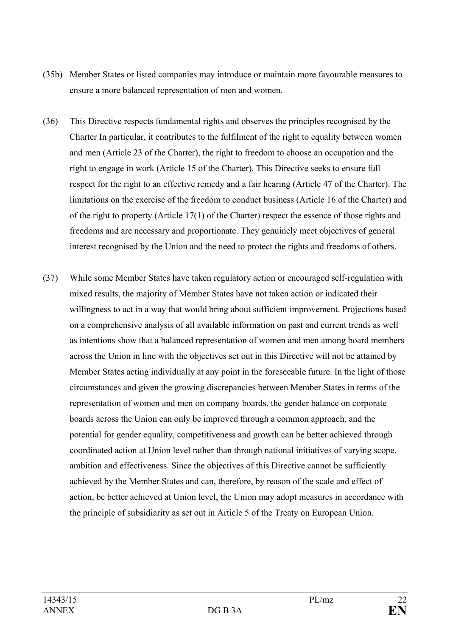- (35b) Member States or listed companies may introduce or maintain more favourable measures to ensure a more balanced representation of men and women.
- (36) This Directive respects fundamental rights and observes the principles recognised by the Charter In particular, it contributes to the fulfilment of the right to equality between women and men (Article 23 of the Charter), the right to freedom to choose an occupation and the right to engage in work (Article 15 of the Charter). This Directive seeks to ensure full respect for the right to an effective remedy and a fair hearing (Article 47 of the Charter). The limitations on the exercise of the freedom to conduct business (Article 16 of the Charter) and of the right to property (Article 17(1) of the Charter) respect the essence of those rights and freedoms and are necessary and proportionate. They genuinely meet objectives of general interest recognised by the Union and the need to protect the rights and freedoms of others.
- (37) While some Member States have taken regulatory action or encouraged self-regulation with mixed results, the majority of Member States have not taken action or indicated their willingness to act in a way that would bring about sufficient improvement. Projections based on a comprehensive analysis of all available information on past and current trends as well as intentions show that a balanced representation of women and men among board members across the Union in line with the objectives set out in this Directive will not be attained by Member States acting individually at any point in the foreseeable future. In the light of those circumstances and given the growing discrepancies between Member States in terms of the representation of women and men on company boards, the gender balance on corporate boards across the Union can only be improved through a common approach, and the potential for gender equality, competitiveness and growth can be better achieved through coordinated action at Union level rather than through national initiatives of varying scope, ambition and effectiveness. Since the objectives of this Directive cannot be sufficiently achieved by the Member States and can, therefore, by reason of the scale and effect of action, be better achieved at Union level, the Union may adopt measures in accordance with the principle of subsidiarity as set out in Article 5 of the Treaty on European Union.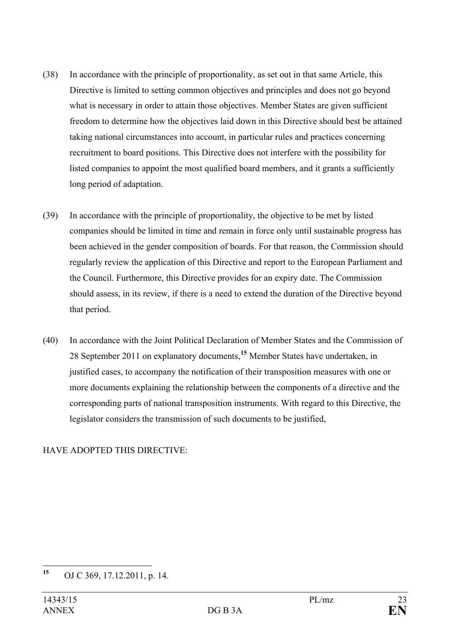- (38) In accordance with the principle of proportionality, as set out in that same Article, this Directive is limited to setting common objectives and principles and does not go beyond what is necessary in order to attain those objectives. Member States are given sufficient freedom to determine how the objectives laid down in this Directive should best be attained taking national circumstances into account, in particular rules and practices concerning recruitment to board positions. This Directive does not interfere with the possibility for listed companies to appoint the most qualified board members, and it grants a sufficiently long period of adaptation.
- (39) In accordance with the principle of proportionality, the objective to be met by listed companies should be limited in time and remain in force only until sustainable progress has been achieved in the gender composition of boards. For that reason, the Commission should regularly review the application of this Directive and report to the European Parliament and the Council. Furthermore, this Directive provides for an expiry date. The Commission should assess, in its review, if there is a need to extend the duration of the Directive beyond that period.
- (40) In accordance with the Joint Political Declaration of Member States and the Commission of 28 September 2011 on explanatory documents,**[15](#page-22-0)** Member States have undertaken, in justified cases, to accompany the notification of their transposition measures with one or more documents explaining the relationship between the components of a directive and the corresponding parts of national transposition instruments. With regard to this Directive, the legislator considers the transmission of such documents to be justified,

#### HAVE ADOPTED THIS DIRECTIVE:

<span id="page-22-0"></span>**<sup>15</sup>** OJ C 369, 17.12.2011, p. 14.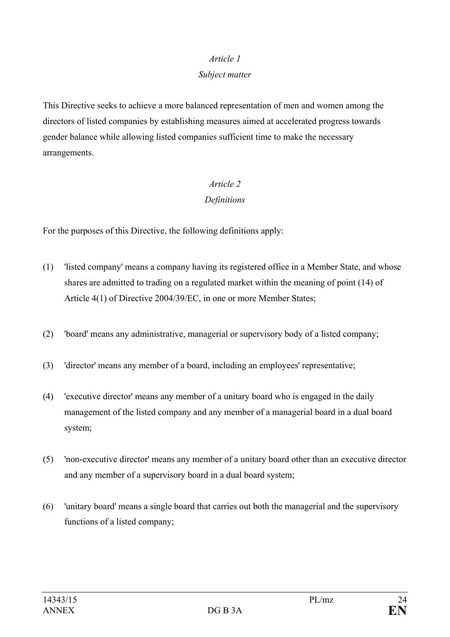#### *Article 1*

#### *Subject matter*

This Directive seeks to achieve a more balanced representation of men and women among the directors of listed companies by establishing measures aimed at accelerated progress towards gender balance while allowing listed companies sufficient time to make the necessary arrangements.

## *Article 2 Definitions*

For the purposes of this Directive, the following definitions apply:

- (1) 'listed company' means a company having its registered office in a Member State, and whose shares are admitted to trading on a regulated market within the meaning of point (14) of Article 4(1) of Directive 2004/39/EC, in one or more Member States;
- (2) 'board' means any administrative, managerial or supervisory body of a listed company;
- (3) 'director' means any member of a board, including an employees' representative;
- (4) 'executive director' means any member of a unitary board who is engaged in the daily management of the listed company and any member of a managerial board in a dual board system;
- (5) 'non-executive director' means any member of a unitary board other than an executive director and any member of a supervisory board in a dual board system;
- (6) 'unitary board' means a single board that carries out both the managerial and the supervisory functions of a listed company;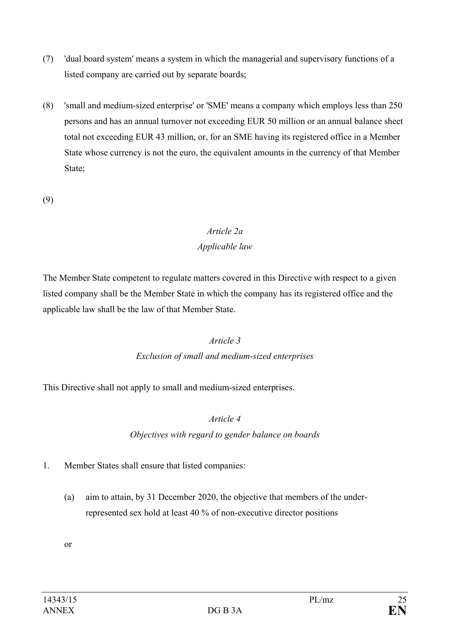- (7) 'dual board system' means a system in which the managerial and supervisory functions of a listed company are carried out by separate boards;
- (8) 'small and medium-sized enterprise' or 'SME' means a company which employs less than 250 persons and has an annual turnover not exceeding EUR 50 million or an annual balance sheet total not exceeding EUR 43 million, or, for an SME having its registered office in a Member State whose currency is not the euro, the equivalent amounts in the currency of that Member State;
- (9)

# *Article 2a Applicable law*

The Member State competent to regulate matters covered in this Directive with respect to a given listed company shall be the Member State in which the company has its registered office and the applicable law shall be the law of that Member State.

## *Article 3*

## *Exclusion of small and medium-sized enterprises*

This Directive shall not apply to small and medium-sized enterprises.

## *Article 4*

*Objectives with regard to gender balance on boards*

- 1. Member States shall ensure that listed companies:
	- (a) aim to attain, by 31 December 2020, the objective that members of the underrepresented sex hold at least 40 % of non-executive director positions

or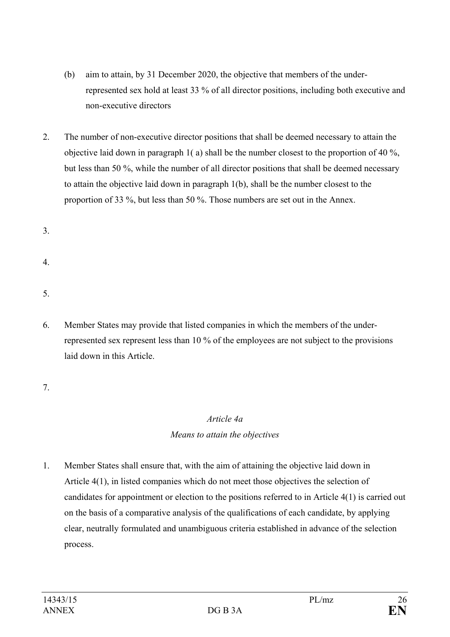- (b) aim to attain, by 31 December 2020, the objective that members of the underrepresented sex hold at least 33 % of all director positions, including both executive and non-executive directors
- 2. The number of non-executive director positions that shall be deemed necessary to attain the objective laid down in paragraph 1( a) shall be the number closest to the proportion of 40 %, but less than 50 %, while the number of all director positions that shall be deemed necessary to attain the objective laid down in paragraph 1(b), shall be the number closest to the proportion of 33 %, but less than 50 %. Those numbers are set out in the Annex.

3.

4.

5.

6. Member States may provide that listed companies in which the members of the underrepresented sex represent less than 10 % of the employees are not subject to the provisions laid down in this Article.

7.

# *Article 4a Means to attain the objectives*

1. Member States shall ensure that, with the aim of attaining the objective laid down in Article 4(1), in listed companies which do not meet those objectives the selection of candidates for appointment or election to the positions referred to in Article 4(1) is carried out on the basis of a comparative analysis of the qualifications of each candidate, by applying clear, neutrally formulated and unambiguous criteria established in advance of the selection process.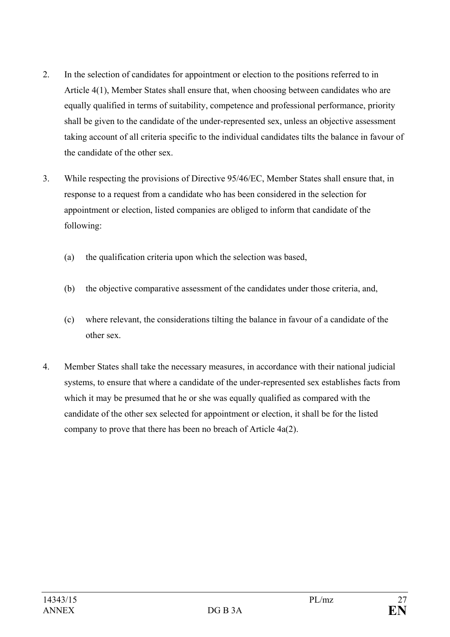- 2. In the selection of candidates for appointment or election to the positions referred to in Article 4(1), Member States shall ensure that, when choosing between candidates who are equally qualified in terms of suitability, competence and professional performance, priority shall be given to the candidate of the under-represented sex, unless an objective assessment taking account of all criteria specific to the individual candidates tilts the balance in favour of the candidate of the other sex.
- 3. While respecting the provisions of Directive 95/46/EC, Member States shall ensure that, in response to a request from a candidate who has been considered in the selection for appointment or election, listed companies are obliged to inform that candidate of the following:
	- (a) the qualification criteria upon which the selection was based,
	- (b) the objective comparative assessment of the candidates under those criteria, and,
	- (c) where relevant, the considerations tilting the balance in favour of a candidate of the other sex.
- 4. Member States shall take the necessary measures, in accordance with their national judicial systems, to ensure that where a candidate of the under-represented sex establishes facts from which it may be presumed that he or she was equally qualified as compared with the candidate of the other sex selected for appointment or election, it shall be for the listed company to prove that there has been no breach of Article 4a(2).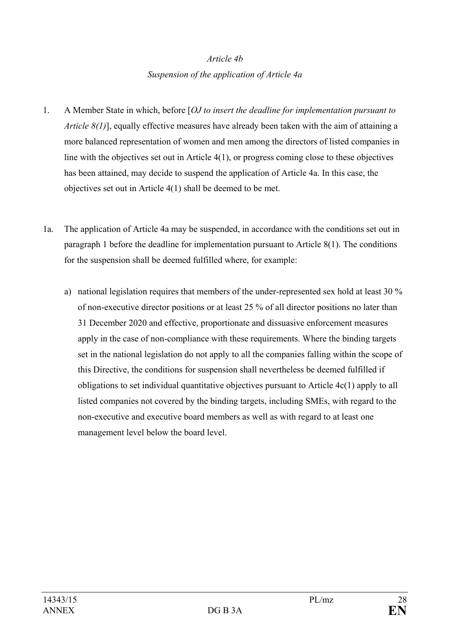# *Article 4b Suspension of the application of Article 4a*

- 1. A Member State in which, before [*OJ to insert the deadline for implementation pursuant to Article 8(1)*], equally effective measures have already been taken with the aim of attaining a more balanced representation of women and men among the directors of listed companies in line with the objectives set out in Article 4(1), or progress coming close to these objectives has been attained, may decide to suspend the application of Article 4a. In this case, the objectives set out in Article 4(1) shall be deemed to be met.
- 1a. The application of Article 4a may be suspended, in accordance with the conditions set out in paragraph 1 before the deadline for implementation pursuant to Article 8(1). The conditions for the suspension shall be deemed fulfilled where, for example:
	- a) national legislation requires that members of the under-represented sex hold at least 30 % of non-executive director positions or at least 25 % of all director positions no later than 31 December 2020 and effective, proportionate and dissuasive enforcement measures apply in the case of non-compliance with these requirements. Where the binding targets set in the national legislation do not apply to all the companies falling within the scope of this Directive, the conditions for suspension shall nevertheless be deemed fulfilled if obligations to set individual quantitative objectives pursuant to Article 4c(1) apply to all listed companies not covered by the binding targets, including SMEs, with regard to the non-executive and executive board members as well as with regard to at least one management level below the board level.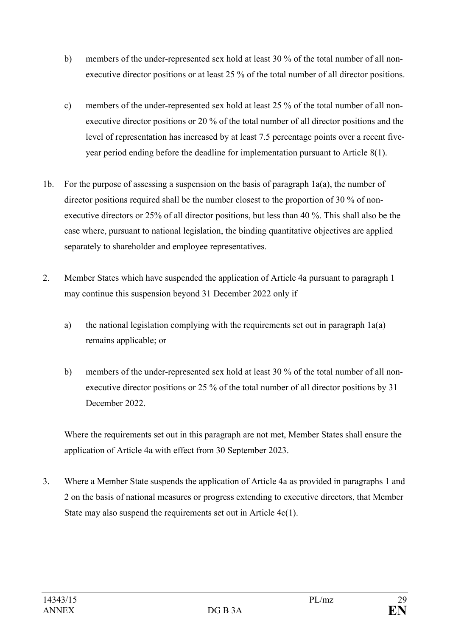- b) members of the under-represented sex hold at least 30 % of the total number of all nonexecutive director positions or at least 25 % of the total number of all director positions.
- c) members of the under-represented sex hold at least 25 % of the total number of all nonexecutive director positions or 20 % of the total number of all director positions and the level of representation has increased by at least 7.5 percentage points over a recent fiveyear period ending before the deadline for implementation pursuant to Article 8(1).
- 1b. For the purpose of assessing a suspension on the basis of paragraph 1a(a), the number of director positions required shall be the number closest to the proportion of 30 % of nonexecutive directors or 25% of all director positions, but less than 40 %. This shall also be the case where, pursuant to national legislation, the binding quantitative objectives are applied separately to shareholder and employee representatives.
- 2. Member States which have suspended the application of Article 4a pursuant to paragraph 1 may continue this suspension beyond 31 December 2022 only if
	- a) the national legislation complying with the requirements set out in paragraph 1a(a) remains applicable; or
	- b) members of the under-represented sex hold at least 30 % of the total number of all nonexecutive director positions or 25 % of the total number of all director positions by 31 December 2022.

Where the requirements set out in this paragraph are not met, Member States shall ensure the application of Article 4a with effect from 30 September 2023.

3. Where a Member State suspends the application of Article 4a as provided in paragraphs 1 and 2 on the basis of national measures or progress extending to executive directors, that Member State may also suspend the requirements set out in Article 4c(1).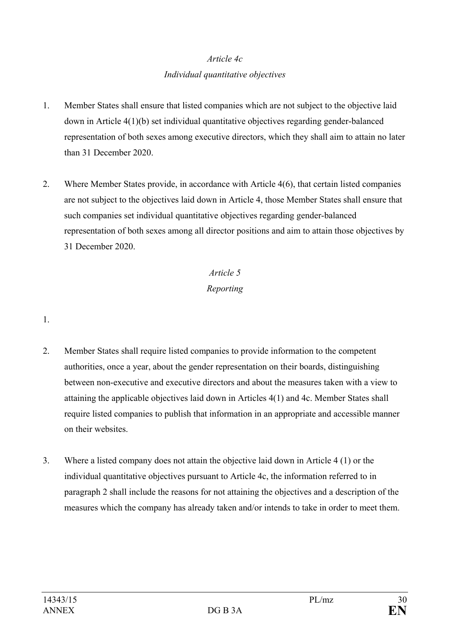## *Article 4c Individual quantitative objectives*

- 1. Member States shall ensure that listed companies which are not subject to the objective laid down in Article 4(1)(b) set individual quantitative objectives regarding gender-balanced representation of both sexes among executive directors, which they shall aim to attain no later than 31 December 2020.
- 2. Where Member States provide, in accordance with Article 4(6), that certain listed companies are not subject to the objectives laid down in Article 4, those Member States shall ensure that such companies set individual quantitative objectives regarding gender-balanced representation of both sexes among all director positions and aim to attain those objectives by 31 December 2020.

# *Article 5 Reporting*

#### 1.

- 2. Member States shall require listed companies to provide information to the competent authorities, once a year, about the gender representation on their boards, distinguishing between non-executive and executive directors and about the measures taken with a view to attaining the applicable objectives laid down in Articles 4(1) and 4c. Member States shall require listed companies to publish that information in an appropriate and accessible manner on their websites.
- 3. Where a listed company does not attain the objective laid down in Article 4 (1) or the individual quantitative objectives pursuant to Article 4c, the information referred to in paragraph 2 shall include the reasons for not attaining the objectives and a description of the measures which the company has already taken and/or intends to take in order to meet them.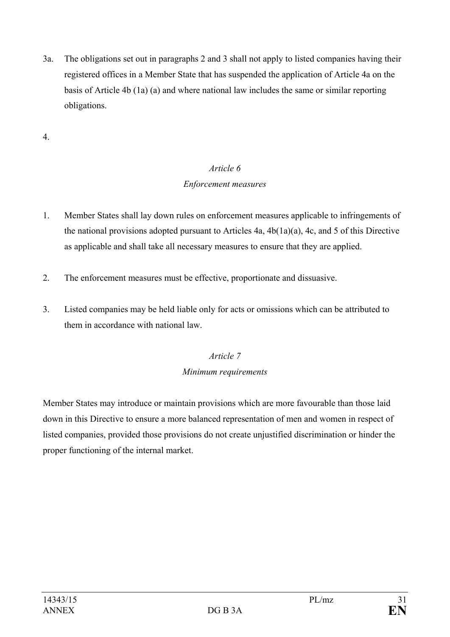3a. The obligations set out in paragraphs 2 and 3 shall not apply to listed companies having their registered offices in a Member State that has suspended the application of Article 4a on the basis of Article 4b (1a) (a) and where national law includes the same or similar reporting obligations.

4.

# *Article 6 Enforcement measures*

- 1. Member States shall lay down rules on enforcement measures applicable to infringements of the national provisions adopted pursuant to Articles 4a, 4b(1a)(a), 4c, and 5 of this Directive as applicable and shall take all necessary measures to ensure that they are applied.
- 2. The enforcement measures must be effective, proportionate and dissuasive.
- 3. Listed companies may be held liable only for acts or omissions which can be attributed to them in accordance with national law.

# *Article 7*

## *Minimum requirements*

Member States may introduce or maintain provisions which are more favourable than those laid down in this Directive to ensure a more balanced representation of men and women in respect of listed companies, provided those provisions do not create unjustified discrimination or hinder the proper functioning of the internal market.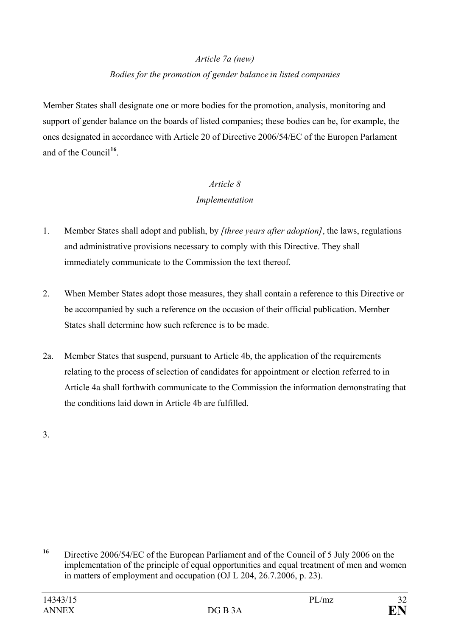# *Article 7a (new) Bodies for the promotion of gender balance in listed companies*

Member States shall designate one or more bodies for the promotion, analysis, monitoring and support of gender balance on the boards of listed companies; these bodies can be, for example, the ones designated in accordance with Article 20 of Directive 2006/54/EC of the Europen Parlament and of the Council**[16](#page-31-0)**.

## *Article 8 Implementation*

- 1. Member States shall adopt and publish, by *[three years after adoption]*, the laws, regulations and administrative provisions necessary to comply with this Directive. They shall immediately communicate to the Commission the text thereof.
- 2. When Member States adopt those measures, they shall contain a reference to this Directive or be accompanied by such a reference on the occasion of their official publication. Member States shall determine how such reference is to be made.
- 2a. Member States that suspend, pursuant to Article 4b, the application of the requirements relating to the process of selection of candidates for appointment or election referred to in Article 4a shall forthwith communicate to the Commission the information demonstrating that the conditions laid down in Article 4b are fulfilled.

3.

<span id="page-31-0"></span>**<sup>16</sup>** Directive 2006/54/EC of the European Parliament and of the Council of 5 July 2006 on the implementation of the principle of equal opportunities and equal treatment of men and women in matters of employment and occupation (OJ L 204, 26.7.2006, p. 23).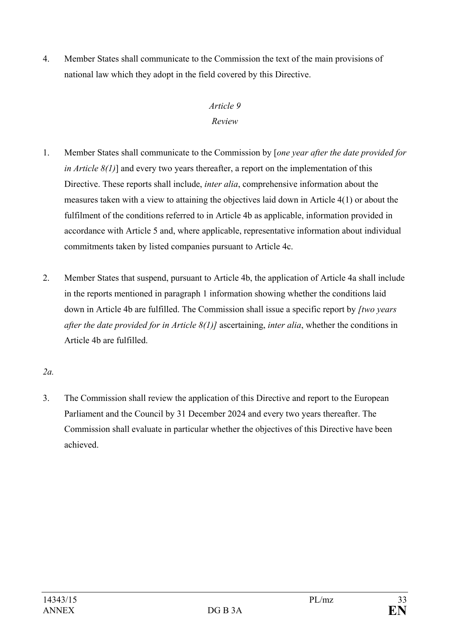4. Member States shall communicate to the Commission the text of the main provisions of national law which they adopt in the field covered by this Directive.

## *Article 9 Review*

- 1. Member States shall communicate to the Commission by [*one year after the date provided for in Article 8(1)*] and every two years thereafter, a report on the implementation of this Directive. These reports shall include, *inter alia*, comprehensive information about the measures taken with a view to attaining the objectives laid down in Article 4(1) or about the fulfilment of the conditions referred to in Article 4b as applicable, information provided in accordance with Article 5 and, where applicable, representative information about individual commitments taken by listed companies pursuant to Article 4c.
- 2. Member States that suspend, pursuant to Article 4b, the application of Article 4a shall include in the reports mentioned in paragraph 1 information showing whether the conditions laid down in Article 4b are fulfilled. The Commission shall issue a specific report by *[two years after the date provided for in Article 8(1)]* ascertaining, *inter alia*, whether the conditions in Article 4b are fulfilled.

*2a.*

3. The Commission shall review the application of this Directive and report to the European Parliament and the Council by 31 December 2024 and every two years thereafter. The Commission shall evaluate in particular whether the objectives of this Directive have been achieved.